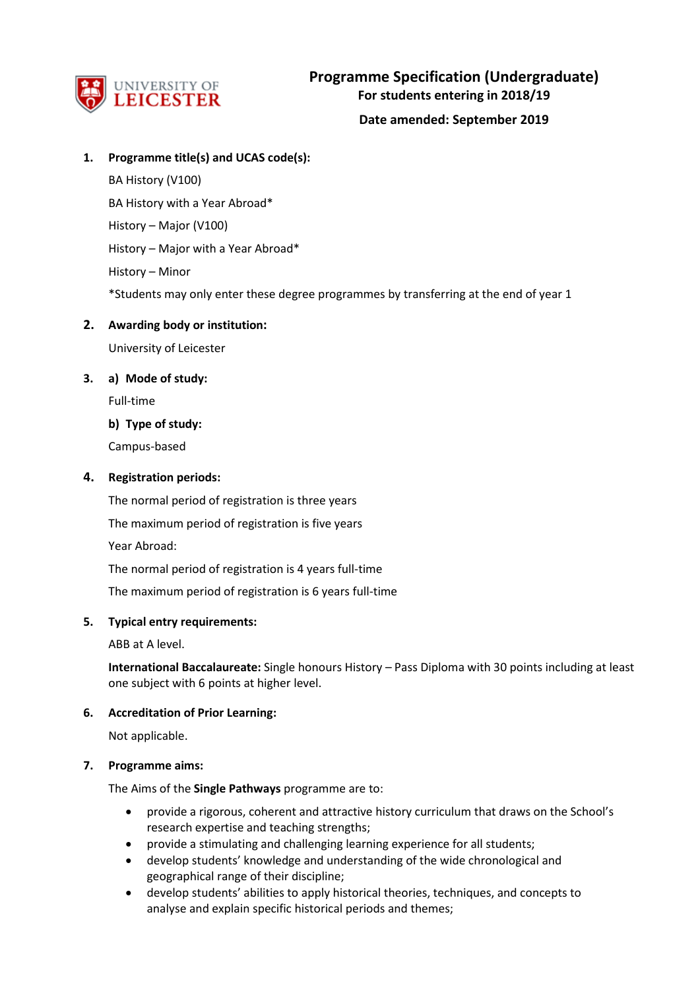

## **1. Programme title(s) and UCAS code(s):**

BA History (V100) BA History with a Year Abroad\* History – Major (V100) History – Major with a Year Abroad\* History – Minor \*Students may only enter these degree programmes by transferring at the end of year 1

## **2. Awarding body or institution:**

University of Leicester

## **3. a) Mode of study:**

Full-time

**b) Type of study:**

Campus-based

## **4. Registration periods:**

The normal period of registration is three years

The maximum period of registration is five years

Year Abroad:

The normal period of registration is 4 years full-time

The maximum period of registration is 6 years full-time

### **5. Typical entry requirements:**

ABB at A level.

**International Baccalaureate:** Single honours History – Pass Diploma with 30 points including at least one subject with 6 points at higher level.

## **6. Accreditation of Prior Learning:**

Not applicable.

## **7. Programme aims:**

The Aims of the **Single Pathways** programme are to:

- provide a rigorous, coherent and attractive history curriculum that draws on the School's research expertise and teaching strengths;
- provide a stimulating and challenging learning experience for all students;
- develop students' knowledge and understanding of the wide chronological and geographical range of their discipline;
- develop students' abilities to apply historical theories, techniques, and concepts to analyse and explain specific historical periods and themes;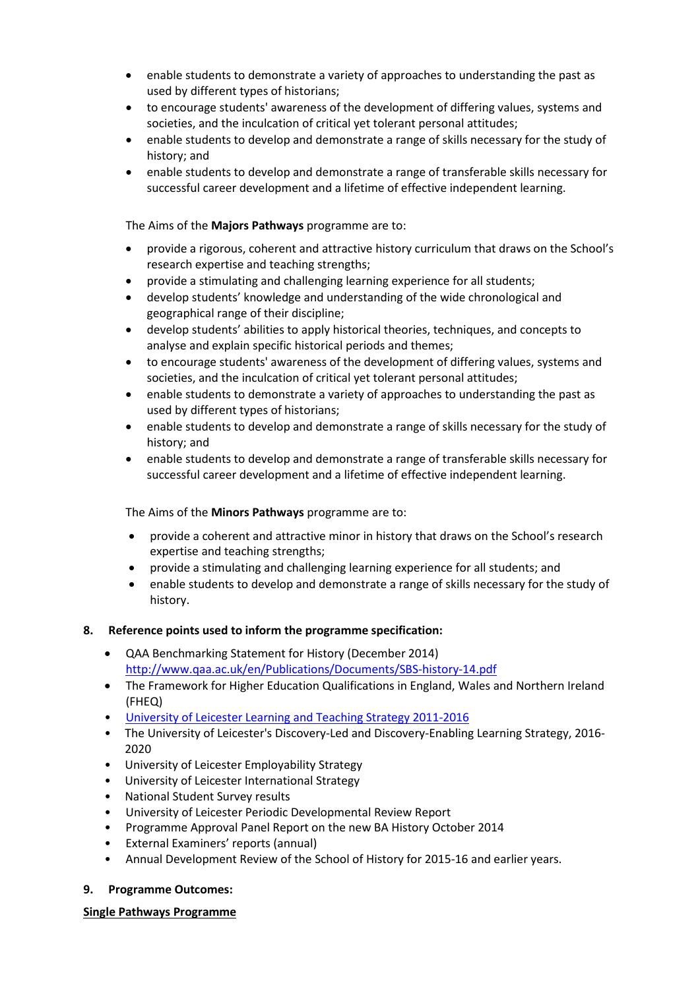- enable students to demonstrate a variety of approaches to understanding the past as used by different types of historians;
- to encourage students' awareness of the development of differing values, systems and societies, and the inculcation of critical yet tolerant personal attitudes;
- enable students to develop and demonstrate a range of skills necessary for the study of history; and
- enable students to develop and demonstrate a range of transferable skills necessary for successful career development and a lifetime of effective independent learning.

## The Aims of the **Majors Pathways** programme are to:

- provide a rigorous, coherent and attractive history curriculum that draws on the School's research expertise and teaching strengths;
- provide a stimulating and challenging learning experience for all students;
- develop students' knowledge and understanding of the wide chronological and geographical range of their discipline;
- develop students' abilities to apply historical theories, techniques, and concepts to analyse and explain specific historical periods and themes;
- to encourage students' awareness of the development of differing values, systems and societies, and the inculcation of critical yet tolerant personal attitudes;
- enable students to demonstrate a variety of approaches to understanding the past as used by different types of historians;
- enable students to develop and demonstrate a range of skills necessary for the study of history; and
- enable students to develop and demonstrate a range of transferable skills necessary for successful career development and a lifetime of effective independent learning.

### The Aims of the **Minors Pathways** programme are to:

- provide a coherent and attractive minor in history that draws on the School's research expertise and teaching strengths;
- provide a stimulating and challenging learning experience for all students; and
- enable students to develop and demonstrate a range of skills necessary for the study of history.

### **8. Reference points used to inform the programme specification:**

- QAA Benchmarking Statement for History (December 2014) <http://www.qaa.ac.uk/en/Publications/Documents/SBS-history-14.pdf>
- The Framework for Higher Education Qualifications in England, Wales and Northern Ireland (FHEQ)
- [University of Leicester Learning and Teaching Strategy 2011-2016](http://www2.le.ac.uk/offices/sas2/quality/learnteach)
- The University of Leicester's Discovery-Led and Discovery-Enabling Learning Strategy, 2016- 2020
- University of Leicester Employability Strategy
- University of Leicester International Strategy
- National Student Survey results
- University of Leicester Periodic Developmental Review Report
- Programme Approval Panel Report on the new BA History October 2014
- External Examiners' reports (annual)
- Annual Development Review of the School of History for 2015-16 and earlier years.

### **9. Programme Outcomes:**

### **Single Pathways Programme**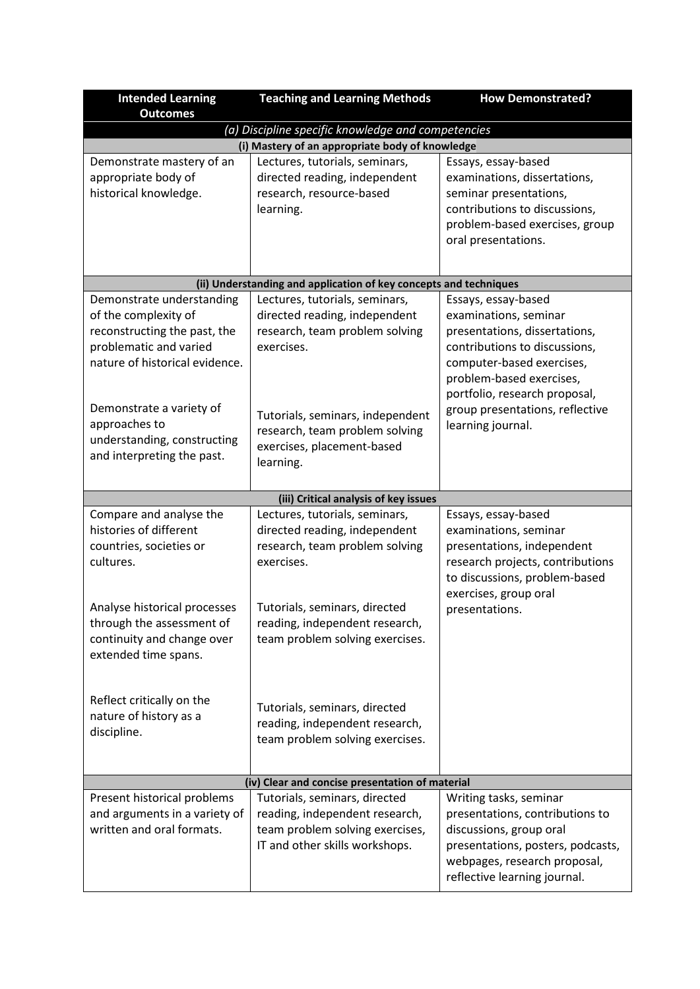| <b>Intended Learning</b>                           | <b>Teaching and Learning Methods</b>                              | <b>How Demonstrated?</b>                                        |
|----------------------------------------------------|-------------------------------------------------------------------|-----------------------------------------------------------------|
| <b>Outcomes</b>                                    |                                                                   |                                                                 |
|                                                    | (a) Discipline specific knowledge and competencies                |                                                                 |
|                                                    | (i) Mastery of an appropriate body of knowledge                   |                                                                 |
| Demonstrate mastery of an                          | Lectures, tutorials, seminars,                                    | Essays, essay-based                                             |
| appropriate body of                                | directed reading, independent                                     | examinations, dissertations,                                    |
| historical knowledge.                              | research, resource-based                                          | seminar presentations,                                          |
|                                                    | learning.                                                         | contributions to discussions,<br>problem-based exercises, group |
|                                                    |                                                                   | oral presentations.                                             |
|                                                    |                                                                   |                                                                 |
|                                                    |                                                                   |                                                                 |
|                                                    | (ii) Understanding and application of key concepts and techniques |                                                                 |
| Demonstrate understanding                          | Lectures, tutorials, seminars,                                    | Essays, essay-based                                             |
| of the complexity of                               | directed reading, independent                                     | examinations, seminar                                           |
| reconstructing the past, the                       | research, team problem solving                                    | presentations, dissertations,                                   |
| problematic and varied                             | exercises.                                                        | contributions to discussions,                                   |
| nature of historical evidence.                     |                                                                   | computer-based exercises,                                       |
|                                                    |                                                                   | problem-based exercises,                                        |
|                                                    |                                                                   | portfolio, research proposal,                                   |
| Demonstrate a variety of                           | Tutorials, seminars, independent                                  | group presentations, reflective                                 |
| approaches to                                      | research, team problem solving                                    | learning journal.                                               |
| understanding, constructing                        | exercises, placement-based                                        |                                                                 |
| and interpreting the past.                         | learning.                                                         |                                                                 |
|                                                    |                                                                   |                                                                 |
|                                                    | (iii) Critical analysis of key issues                             |                                                                 |
| Compare and analyse the                            | Lectures, tutorials, seminars,                                    | Essays, essay-based                                             |
| histories of different                             | directed reading, independent                                     | examinations, seminar                                           |
| countries, societies or                            | research, team problem solving                                    | presentations, independent                                      |
| cultures.                                          | exercises.                                                        | research projects, contributions                                |
|                                                    |                                                                   | to discussions, problem-based                                   |
|                                                    |                                                                   | exercises, group oral                                           |
| Analyse historical processes                       | Tutorials, seminars, directed                                     | presentations.                                                  |
| through the assessment of                          | reading, independent research,                                    |                                                                 |
| continuity and change over<br>extended time spans. | team problem solving exercises.                                   |                                                                 |
|                                                    |                                                                   |                                                                 |
|                                                    |                                                                   |                                                                 |
| Reflect critically on the                          |                                                                   |                                                                 |
| nature of history as a                             | Tutorials, seminars, directed                                     |                                                                 |
| discipline.                                        | reading, independent research,                                    |                                                                 |
|                                                    | team problem solving exercises.                                   |                                                                 |
|                                                    |                                                                   |                                                                 |
|                                                    | (iv) Clear and concise presentation of material                   |                                                                 |
| Present historical problems                        | Tutorials, seminars, directed                                     | Writing tasks, seminar                                          |
| and arguments in a variety of                      | reading, independent research,                                    | presentations, contributions to                                 |
| written and oral formats.                          | team problem solving exercises,                                   | discussions, group oral                                         |
|                                                    | IT and other skills workshops.                                    | presentations, posters, podcasts,                               |
|                                                    |                                                                   | webpages, research proposal,                                    |
|                                                    |                                                                   | reflective learning journal.                                    |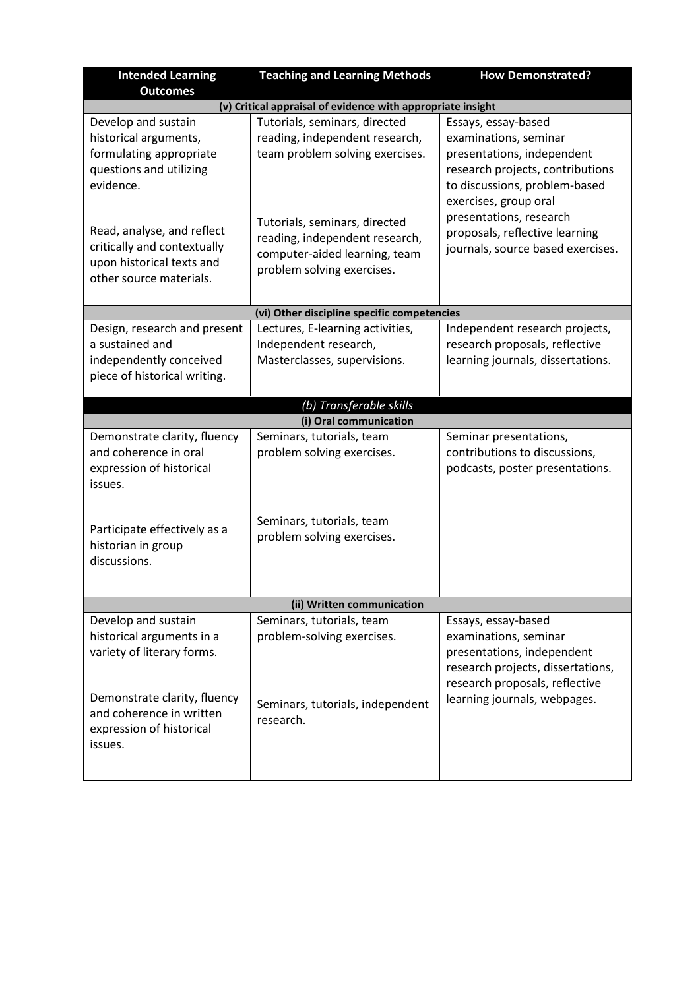| <b>Intended Learning</b><br><b>Outcomes</b>                                                                       | <b>Teaching and Learning Methods</b>                                                                                           | <b>How Demonstrated?</b>                                                                                                                                                 |
|-------------------------------------------------------------------------------------------------------------------|--------------------------------------------------------------------------------------------------------------------------------|--------------------------------------------------------------------------------------------------------------------------------------------------------------------------|
|                                                                                                                   | (v) Critical appraisal of evidence with appropriate insight                                                                    |                                                                                                                                                                          |
| Develop and sustain<br>historical arguments,<br>formulating appropriate<br>questions and utilizing<br>evidence.   | Tutorials, seminars, directed<br>reading, independent research,<br>team problem solving exercises.                             | Essays, essay-based<br>examinations, seminar<br>presentations, independent<br>research projects, contributions<br>to discussions, problem-based<br>exercises, group oral |
| Read, analyse, and reflect<br>critically and contextually<br>upon historical texts and<br>other source materials. | Tutorials, seminars, directed<br>reading, independent research,<br>computer-aided learning, team<br>problem solving exercises. | presentations, research<br>proposals, reflective learning<br>journals, source based exercises.                                                                           |
|                                                                                                                   | (vi) Other discipline specific competencies                                                                                    |                                                                                                                                                                          |
| Design, research and present<br>a sustained and<br>independently conceived<br>piece of historical writing.        | Lectures, E-learning activities,<br>Independent research,<br>Masterclasses, supervisions.                                      | Independent research projects,<br>research proposals, reflective<br>learning journals, dissertations.                                                                    |
|                                                                                                                   | (b) Transferable skills                                                                                                        |                                                                                                                                                                          |
|                                                                                                                   | (i) Oral communication                                                                                                         |                                                                                                                                                                          |
| Demonstrate clarity, fluency<br>and coherence in oral<br>expression of historical<br>issues.                      | Seminars, tutorials, team<br>problem solving exercises.                                                                        | Seminar presentations,<br>contributions to discussions,<br>podcasts, poster presentations.                                                                               |
| Participate effectively as a<br>historian in group<br>discussions.                                                | Seminars, tutorials, team<br>problem solving exercises.                                                                        |                                                                                                                                                                          |
|                                                                                                                   | (ii) Written communication                                                                                                     |                                                                                                                                                                          |
| Develop and sustain<br>historical arguments in a<br>variety of literary forms.                                    | Seminars, tutorials, team<br>problem-solving exercises.                                                                        | Essays, essay-based<br>examinations, seminar<br>presentations, independent<br>research projects, dissertations,                                                          |
| Demonstrate clarity, fluency<br>and coherence in written<br>expression of historical<br>issues.                   | Seminars, tutorials, independent<br>research.                                                                                  | research proposals, reflective<br>learning journals, webpages.                                                                                                           |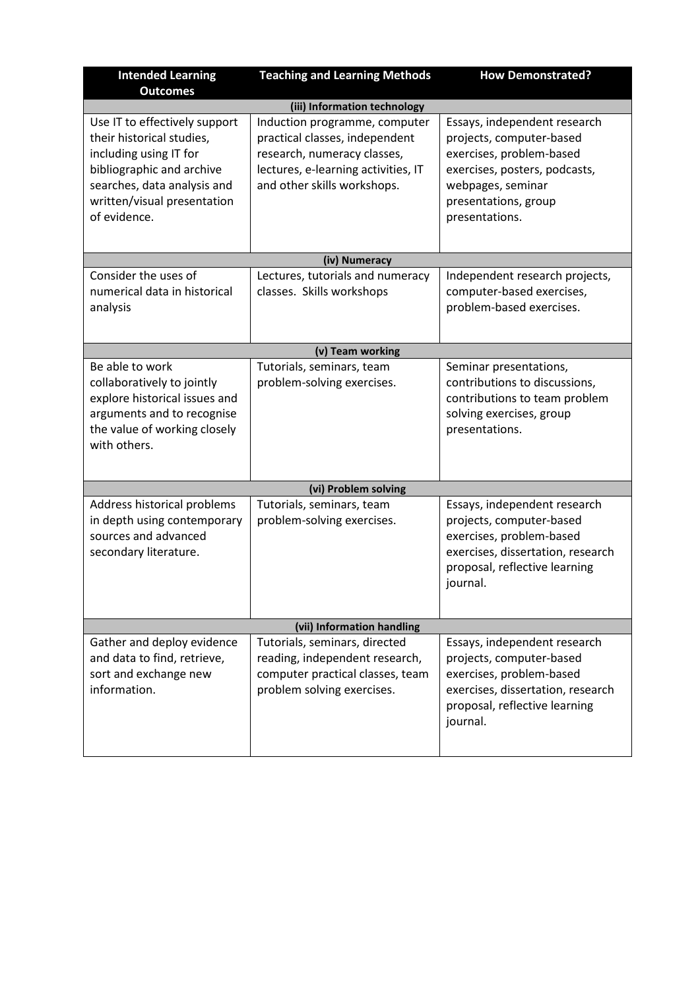| <b>Intended Learning</b><br><b>Outcomes</b>                                                                                                                                                     | <b>Teaching and Learning Methods</b>                                                                                                                                 | <b>How Demonstrated?</b>                                                                                                                                                             |
|-------------------------------------------------------------------------------------------------------------------------------------------------------------------------------------------------|----------------------------------------------------------------------------------------------------------------------------------------------------------------------|--------------------------------------------------------------------------------------------------------------------------------------------------------------------------------------|
|                                                                                                                                                                                                 | (iii) Information technology                                                                                                                                         |                                                                                                                                                                                      |
| Use IT to effectively support<br>their historical studies.<br>including using IT for<br>bibliographic and archive<br>searches, data analysis and<br>written/visual presentation<br>of evidence. | Induction programme, computer<br>practical classes, independent<br>research, numeracy classes,<br>lectures, e-learning activities, IT<br>and other skills workshops. | Essays, independent research<br>projects, computer-based<br>exercises, problem-based<br>exercises, posters, podcasts,<br>webpages, seminar<br>presentations, group<br>presentations. |
|                                                                                                                                                                                                 | (iv) Numeracy                                                                                                                                                        |                                                                                                                                                                                      |
| Consider the uses of<br>numerical data in historical<br>analysis                                                                                                                                | Lectures, tutorials and numeracy<br>classes. Skills workshops                                                                                                        | Independent research projects,<br>computer-based exercises,<br>problem-based exercises.                                                                                              |
|                                                                                                                                                                                                 | (v) Team working                                                                                                                                                     |                                                                                                                                                                                      |
| Be able to work<br>collaboratively to jointly<br>explore historical issues and<br>arguments and to recognise<br>the value of working closely<br>with others.                                    | Tutorials, seminars, team<br>problem-solving exercises.                                                                                                              | Seminar presentations,<br>contributions to discussions,<br>contributions to team problem<br>solving exercises, group<br>presentations.                                               |
|                                                                                                                                                                                                 | (vi) Problem solving                                                                                                                                                 |                                                                                                                                                                                      |
| Address historical problems<br>in depth using contemporary<br>sources and advanced<br>secondary literature.                                                                                     | Tutorials, seminars, team<br>problem-solving exercises.                                                                                                              | Essays, independent research<br>projects, computer-based<br>exercises, problem-based<br>exercises, dissertation, research<br>proposal, reflective learning<br>journal.               |
|                                                                                                                                                                                                 | (vii) Information handling                                                                                                                                           |                                                                                                                                                                                      |
| Gather and deploy evidence<br>and data to find, retrieve,<br>sort and exchange new<br>information.                                                                                              | Tutorials, seminars, directed<br>reading, independent research,<br>computer practical classes, team<br>problem solving exercises.                                    | Essays, independent research<br>projects, computer-based<br>exercises, problem-based<br>exercises, dissertation, research<br>proposal, reflective learning<br>journal.               |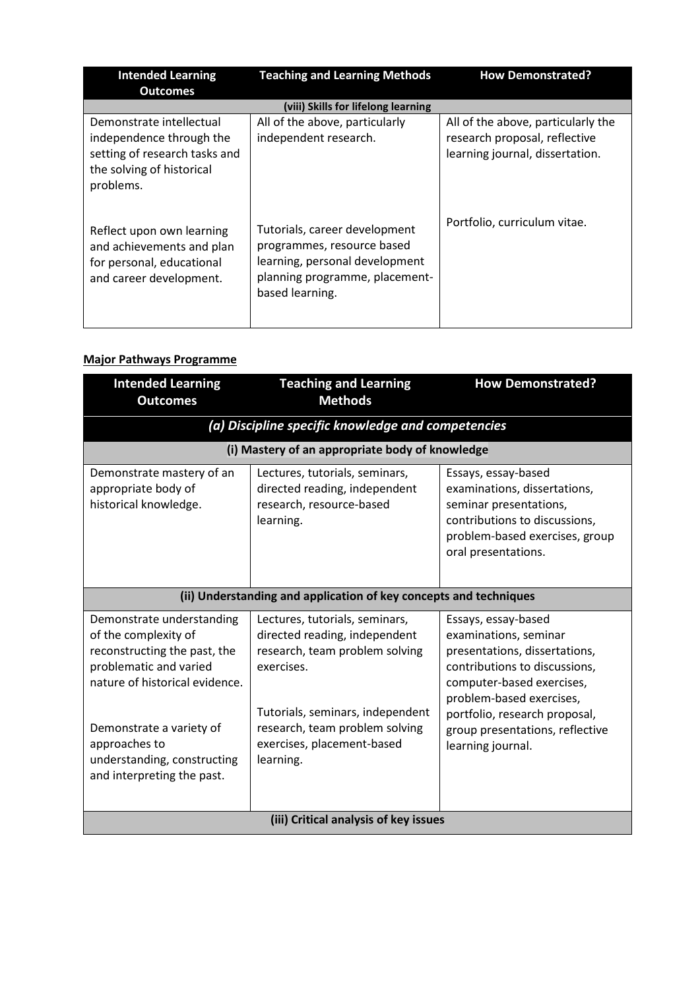| <b>Intended Learning</b>                                                                                                        | <b>Teaching and Learning Methods</b>                                                                                                               | <b>How Demonstrated?</b>                                                                               |
|---------------------------------------------------------------------------------------------------------------------------------|----------------------------------------------------------------------------------------------------------------------------------------------------|--------------------------------------------------------------------------------------------------------|
| <b>Outcomes</b>                                                                                                                 | (viii) Skills for lifelong learning                                                                                                                |                                                                                                        |
| Demonstrate intellectual<br>independence through the<br>setting of research tasks and<br>the solving of historical<br>problems. | All of the above, particularly<br>independent research.                                                                                            | All of the above, particularly the<br>research proposal, reflective<br>learning journal, dissertation. |
| Reflect upon own learning<br>and achievements and plan<br>for personal, educational<br>and career development.                  | Tutorials, career development<br>programmes, resource based<br>learning, personal development<br>planning programme, placement-<br>based learning. | Portfolio, curriculum vitae.                                                                           |

# **Major Pathways Programme**

| <b>Intended Learning</b><br><b>Outcomes</b>                                                                                                                                                | <b>Teaching and Learning</b><br><b>Methods</b>                                                                                                                                                                      | <b>How Demonstrated?</b>                                                                                                                                                                                                                                         |
|--------------------------------------------------------------------------------------------------------------------------------------------------------------------------------------------|---------------------------------------------------------------------------------------------------------------------------------------------------------------------------------------------------------------------|------------------------------------------------------------------------------------------------------------------------------------------------------------------------------------------------------------------------------------------------------------------|
|                                                                                                                                                                                            | (a) Discipline specific knowledge and competencies                                                                                                                                                                  |                                                                                                                                                                                                                                                                  |
|                                                                                                                                                                                            | (i) Mastery of an appropriate body of knowledge                                                                                                                                                                     |                                                                                                                                                                                                                                                                  |
| Demonstrate mastery of an<br>appropriate body of<br>historical knowledge.                                                                                                                  | Lectures, tutorials, seminars,<br>directed reading, independent<br>research, resource-based<br>learning.                                                                                                            | Essays, essay-based<br>examinations, dissertations,<br>seminar presentations,<br>contributions to discussions,<br>problem-based exercises, group<br>oral presentations.                                                                                          |
|                                                                                                                                                                                            | (ii) Understanding and application of key concepts and techniques                                                                                                                                                   |                                                                                                                                                                                                                                                                  |
| Demonstrate understanding<br>of the complexity of<br>reconstructing the past, the<br>problematic and varied<br>nature of historical evidence.<br>Demonstrate a variety of<br>approaches to | Lectures, tutorials, seminars,<br>directed reading, independent<br>research, team problem solving<br>exercises.<br>Tutorials, seminars, independent<br>research, team problem solving<br>exercises, placement-based | Essays, essay-based<br>examinations, seminar<br>presentations, dissertations,<br>contributions to discussions,<br>computer-based exercises,<br>problem-based exercises,<br>portfolio, research proposal,<br>group presentations, reflective<br>learning journal. |
| understanding, constructing<br>and interpreting the past.                                                                                                                                  | learning.                                                                                                                                                                                                           |                                                                                                                                                                                                                                                                  |
| (iii) Critical analysis of key issues                                                                                                                                                      |                                                                                                                                                                                                                     |                                                                                                                                                                                                                                                                  |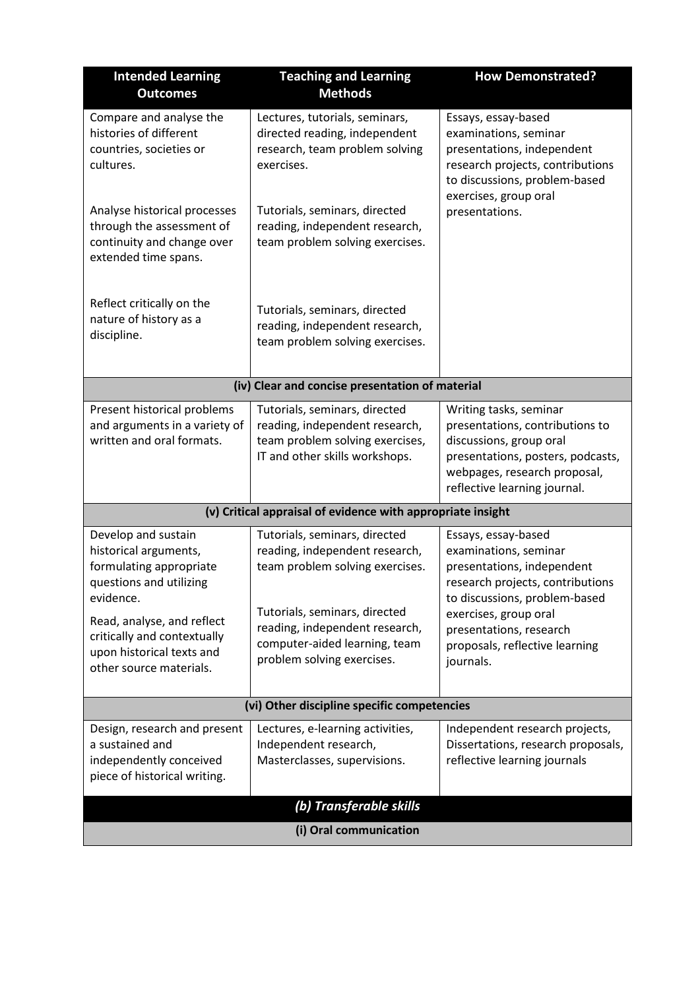| <b>Intended Learning</b><br><b>Outcomes</b>                                                                                                                                                                                          | <b>Teaching and Learning</b><br><b>Methods</b>                                                                                                                                                                                       | <b>How Demonstrated?</b>                                                                                                                                                                                                                           |
|--------------------------------------------------------------------------------------------------------------------------------------------------------------------------------------------------------------------------------------|--------------------------------------------------------------------------------------------------------------------------------------------------------------------------------------------------------------------------------------|----------------------------------------------------------------------------------------------------------------------------------------------------------------------------------------------------------------------------------------------------|
| Compare and analyse the<br>histories of different<br>countries, societies or<br>cultures.                                                                                                                                            | Lectures, tutorials, seminars,<br>directed reading, independent<br>research, team problem solving<br>exercises.                                                                                                                      | Essays, essay-based<br>examinations, seminar<br>presentations, independent<br>research projects, contributions<br>to discussions, problem-based                                                                                                    |
| Analyse historical processes<br>through the assessment of<br>continuity and change over<br>extended time spans.                                                                                                                      | Tutorials, seminars, directed<br>reading, independent research,<br>team problem solving exercises.                                                                                                                                   | exercises, group oral<br>presentations.                                                                                                                                                                                                            |
| Reflect critically on the<br>nature of history as a<br>discipline.                                                                                                                                                                   | Tutorials, seminars, directed<br>reading, independent research,<br>team problem solving exercises.                                                                                                                                   |                                                                                                                                                                                                                                                    |
|                                                                                                                                                                                                                                      | (iv) Clear and concise presentation of material                                                                                                                                                                                      |                                                                                                                                                                                                                                                    |
| Present historical problems<br>and arguments in a variety of<br>written and oral formats.                                                                                                                                            | Tutorials, seminars, directed<br>reading, independent research,<br>team problem solving exercises,<br>IT and other skills workshops.                                                                                                 | Writing tasks, seminar<br>presentations, contributions to<br>discussions, group oral<br>presentations, posters, podcasts,<br>webpages, research proposal,<br>reflective learning journal.                                                          |
|                                                                                                                                                                                                                                      | (v) Critical appraisal of evidence with appropriate insight                                                                                                                                                                          |                                                                                                                                                                                                                                                    |
| Develop and sustain<br>historical arguments,<br>formulating appropriate<br>questions and utilizing<br>evidence.<br>Read, analyse, and reflect<br>critically and contextually<br>upon historical texts and<br>other source materials. | Tutorials, seminars, directed<br>reading, independent research,<br>team problem solving exercises.<br>Tutorials, seminars, directed<br>reading, independent research,<br>computer-aided learning, team<br>problem solving exercises. | Essays, essay-based<br>examinations, seminar<br>presentations, independent<br>research projects, contributions<br>to discussions, problem-based<br>exercises, group oral<br>presentations, research<br>proposals, reflective learning<br>journals. |
| (vi) Other discipline specific competencies                                                                                                                                                                                          |                                                                                                                                                                                                                                      |                                                                                                                                                                                                                                                    |
| Design, research and present<br>a sustained and<br>independently conceived<br>piece of historical writing.                                                                                                                           | Lectures, e-learning activities,<br>Independent research,<br>Masterclasses, supervisions.                                                                                                                                            | Independent research projects,<br>Dissertations, research proposals,<br>reflective learning journals                                                                                                                                               |
| (b) Transferable skills                                                                                                                                                                                                              |                                                                                                                                                                                                                                      |                                                                                                                                                                                                                                                    |
| (i) Oral communication                                                                                                                                                                                                               |                                                                                                                                                                                                                                      |                                                                                                                                                                                                                                                    |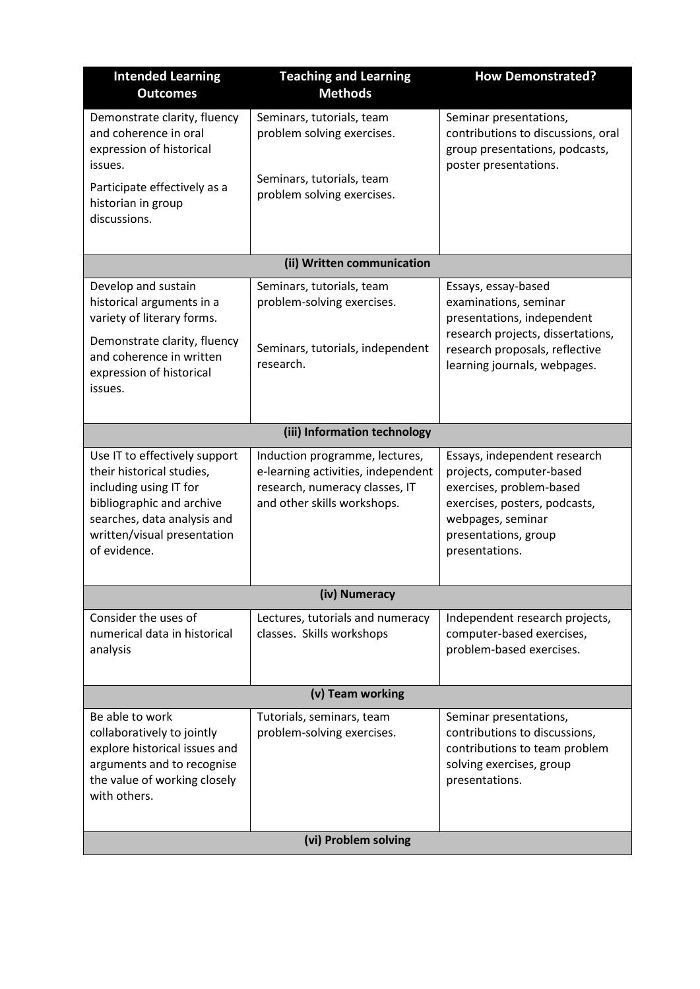| <b>Intended Learning</b><br><b>Outcomes</b>                                                                                                                                                     | <b>Teaching and Learning</b><br><b>Methods</b>                                                                                        | <b>How Demonstrated?</b>                                                                                                                                                             |
|-------------------------------------------------------------------------------------------------------------------------------------------------------------------------------------------------|---------------------------------------------------------------------------------------------------------------------------------------|--------------------------------------------------------------------------------------------------------------------------------------------------------------------------------------|
| Demonstrate clarity, fluency<br>and coherence in oral<br>expression of historical<br>issues.<br>Participate effectively as a<br>historian in group<br>discussions.                              | Seminars, tutorials, team<br>problem solving exercises.<br>Seminars, tutorials, team<br>problem solving exercises.                    | Seminar presentations,<br>contributions to discussions, oral<br>group presentations, podcasts,<br>poster presentations.                                                              |
|                                                                                                                                                                                                 | (ii) Written communication                                                                                                            |                                                                                                                                                                                      |
| Develop and sustain<br>historical arguments in a<br>variety of literary forms.<br>Demonstrate clarity, fluency<br>and coherence in written<br>expression of historical<br>issues.               | Seminars, tutorials, team<br>problem-solving exercises.<br>Seminars, tutorials, independent<br>research.                              | Essays, essay-based<br>examinations, seminar<br>presentations, independent<br>research projects, dissertations,<br>research proposals, reflective<br>learning journals, webpages.    |
|                                                                                                                                                                                                 | (iii) Information technology                                                                                                          |                                                                                                                                                                                      |
| Use IT to effectively support<br>their historical studies,<br>including using IT for<br>bibliographic and archive<br>searches, data analysis and<br>written/visual presentation<br>of evidence. | Induction programme, lectures,<br>e-learning activities, independent<br>research, numeracy classes, IT<br>and other skills workshops. | Essays, independent research<br>projects, computer-based<br>exercises, problem-based<br>exercises, posters, podcasts,<br>webpages, seminar<br>presentations, group<br>presentations. |
|                                                                                                                                                                                                 | (iv) Numeracy                                                                                                                         |                                                                                                                                                                                      |
| Consider the uses of<br>numerical data in historical<br>analysis                                                                                                                                | Lectures, tutorials and numeracy<br>classes. Skills workshops                                                                         | Independent research projects,<br>computer-based exercises,<br>problem-based exercises.                                                                                              |
| (v) Team working                                                                                                                                                                                |                                                                                                                                       |                                                                                                                                                                                      |
| Be able to work<br>collaboratively to jointly<br>explore historical issues and<br>arguments and to recognise<br>the value of working closely<br>with others.                                    | Tutorials, seminars, team<br>problem-solving exercises.                                                                               | Seminar presentations,<br>contributions to discussions,<br>contributions to team problem<br>solving exercises, group<br>presentations.                                               |
|                                                                                                                                                                                                 | (vi) Problem solving                                                                                                                  |                                                                                                                                                                                      |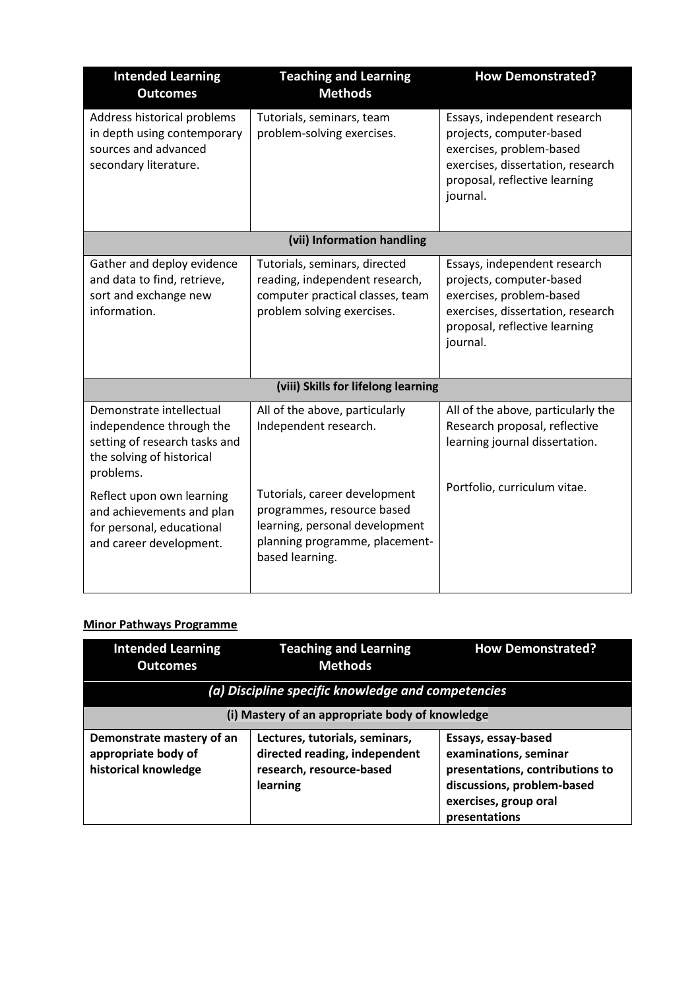| <b>Intended Learning</b><br><b>Outcomes</b>                                                                                     | <b>Teaching and Learning</b><br><b>Methods</b>                                                                                                     | <b>How Demonstrated?</b>                                                                                                                                               |
|---------------------------------------------------------------------------------------------------------------------------------|----------------------------------------------------------------------------------------------------------------------------------------------------|------------------------------------------------------------------------------------------------------------------------------------------------------------------------|
| Address historical problems<br>in depth using contemporary<br>sources and advanced<br>secondary literature.                     | Tutorials, seminars, team<br>problem-solving exercises.                                                                                            | Essays, independent research<br>projects, computer-based<br>exercises, problem-based<br>exercises, dissertation, research<br>proposal, reflective learning<br>journal. |
|                                                                                                                                 | (vii) Information handling                                                                                                                         |                                                                                                                                                                        |
| Gather and deploy evidence<br>and data to find, retrieve,<br>sort and exchange new<br>information.                              | Tutorials, seminars, directed<br>reading, independent research,<br>computer practical classes, team<br>problem solving exercises.                  | Essays, independent research<br>projects, computer-based<br>exercises, problem-based<br>exercises, dissertation, research<br>proposal, reflective learning<br>journal. |
|                                                                                                                                 | (viii) Skills for lifelong learning                                                                                                                |                                                                                                                                                                        |
| Demonstrate intellectual<br>independence through the<br>setting of research tasks and<br>the solving of historical<br>problems. | All of the above, particularly<br>Independent research.                                                                                            | All of the above, particularly the<br>Research proposal, reflective<br>learning journal dissertation.<br>Portfolio, curriculum vitae.                                  |
| Reflect upon own learning<br>and achievements and plan<br>for personal, educational<br>and career development.                  | Tutorials, career development<br>programmes, resource based<br>learning, personal development<br>planning programme, placement-<br>based learning. |                                                                                                                                                                        |

# **Minor Pathways Programme**

| <b>Intended Learning</b><br><b>Outcomes</b>                              | <b>Teaching and Learning</b><br><b>Methods</b>                                                          | <b>How Demonstrated?</b>                                                                                                                                |  |
|--------------------------------------------------------------------------|---------------------------------------------------------------------------------------------------------|---------------------------------------------------------------------------------------------------------------------------------------------------------|--|
|                                                                          | (a) Discipline specific knowledge and competencies                                                      |                                                                                                                                                         |  |
| (i) Mastery of an appropriate body of knowledge                          |                                                                                                         |                                                                                                                                                         |  |
| Demonstrate mastery of an<br>appropriate body of<br>historical knowledge | Lectures, tutorials, seminars,<br>directed reading, independent<br>research, resource-based<br>learning | Essays, essay-based<br>examinations, seminar<br>presentations, contributions to<br>discussions, problem-based<br>exercises, group oral<br>presentations |  |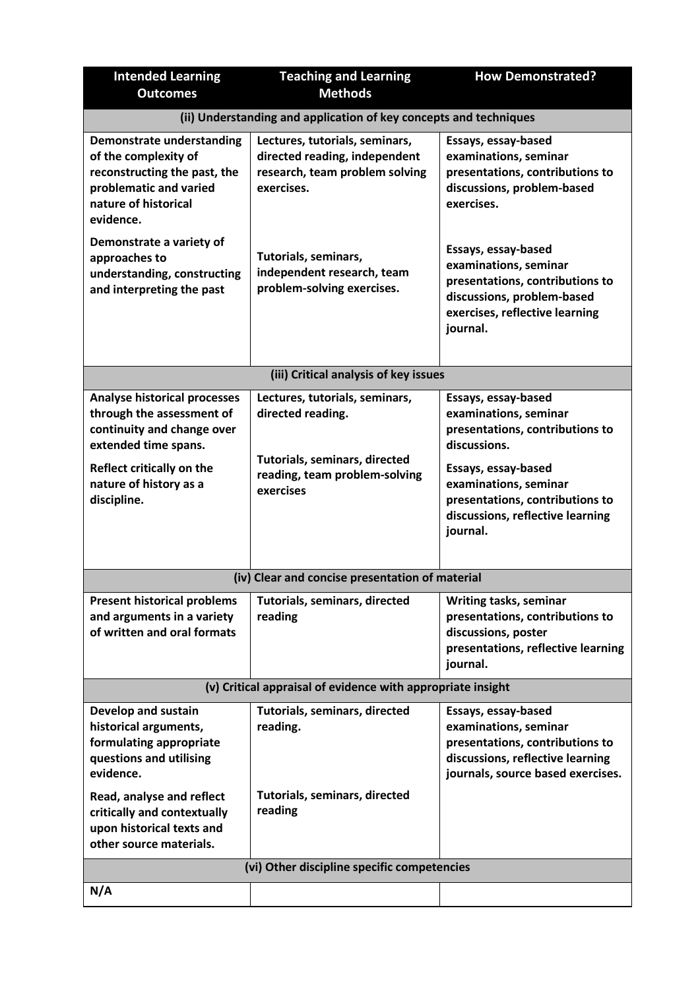| <b>Intended Learning</b>                                                                                                                                                                     | <b>Teaching and Learning</b>                                                                                                       | <b>How Demonstrated?</b>                                                                                                                                                                                                           |
|----------------------------------------------------------------------------------------------------------------------------------------------------------------------------------------------|------------------------------------------------------------------------------------------------------------------------------------|------------------------------------------------------------------------------------------------------------------------------------------------------------------------------------------------------------------------------------|
| <b>Outcomes</b>                                                                                                                                                                              | <b>Methods</b>                                                                                                                     |                                                                                                                                                                                                                                    |
|                                                                                                                                                                                              | (ii) Understanding and application of key concepts and techniques                                                                  |                                                                                                                                                                                                                                    |
| <b>Demonstrate understanding</b><br>of the complexity of<br>reconstructing the past, the<br>problematic and varied<br>nature of historical<br>evidence.                                      | Lectures, tutorials, seminars,<br>directed reading, independent<br>research, team problem solving<br>exercises.                    | Essays, essay-based<br>examinations, seminar<br>presentations, contributions to<br>discussions, problem-based<br>exercises.                                                                                                        |
| Demonstrate a variety of<br>approaches to<br>understanding, constructing<br>and interpreting the past                                                                                        | Tutorials, seminars,<br>independent research, team<br>problem-solving exercises.                                                   | Essays, essay-based<br>examinations, seminar<br>presentations, contributions to<br>discussions, problem-based<br>exercises, reflective learning<br>journal.                                                                        |
|                                                                                                                                                                                              | (iii) Critical analysis of key issues                                                                                              |                                                                                                                                                                                                                                    |
| <b>Analyse historical processes</b><br>through the assessment of<br>continuity and change over<br>extended time spans.<br>Reflect critically on the<br>nature of history as a<br>discipline. | Lectures, tutorials, seminars,<br>directed reading.<br>Tutorials, seminars, directed<br>reading, team problem-solving<br>exercises | Essays, essay-based<br>examinations, seminar<br>presentations, contributions to<br>discussions.<br>Essays, essay-based<br>examinations, seminar<br>presentations, contributions to<br>discussions, reflective learning<br>journal. |
|                                                                                                                                                                                              | (iv) Clear and concise presentation of material                                                                                    |                                                                                                                                                                                                                                    |
| <b>Present historical problems</b><br>and arguments in a variety<br>of written and oral formats                                                                                              | Tutorials, seminars, directed<br>reading                                                                                           | <b>Writing tasks, seminar</b><br>presentations, contributions to<br>discussions, poster<br>presentations, reflective learning<br>journal.                                                                                          |
|                                                                                                                                                                                              | (v) Critical appraisal of evidence with appropriate insight                                                                        |                                                                                                                                                                                                                                    |
| Develop and sustain<br>historical arguments,<br>formulating appropriate<br>questions and utilising<br>evidence.                                                                              | Tutorials, seminars, directed<br>reading.                                                                                          | Essays, essay-based<br>examinations, seminar<br>presentations, contributions to<br>discussions, reflective learning<br>journals, source based exercises.                                                                           |
| Read, analyse and reflect<br>critically and contextually<br>upon historical texts and<br>other source materials.                                                                             | Tutorials, seminars, directed<br>reading                                                                                           |                                                                                                                                                                                                                                    |
| (vi) Other discipline specific competencies                                                                                                                                                  |                                                                                                                                    |                                                                                                                                                                                                                                    |
| N/A                                                                                                                                                                                          |                                                                                                                                    |                                                                                                                                                                                                                                    |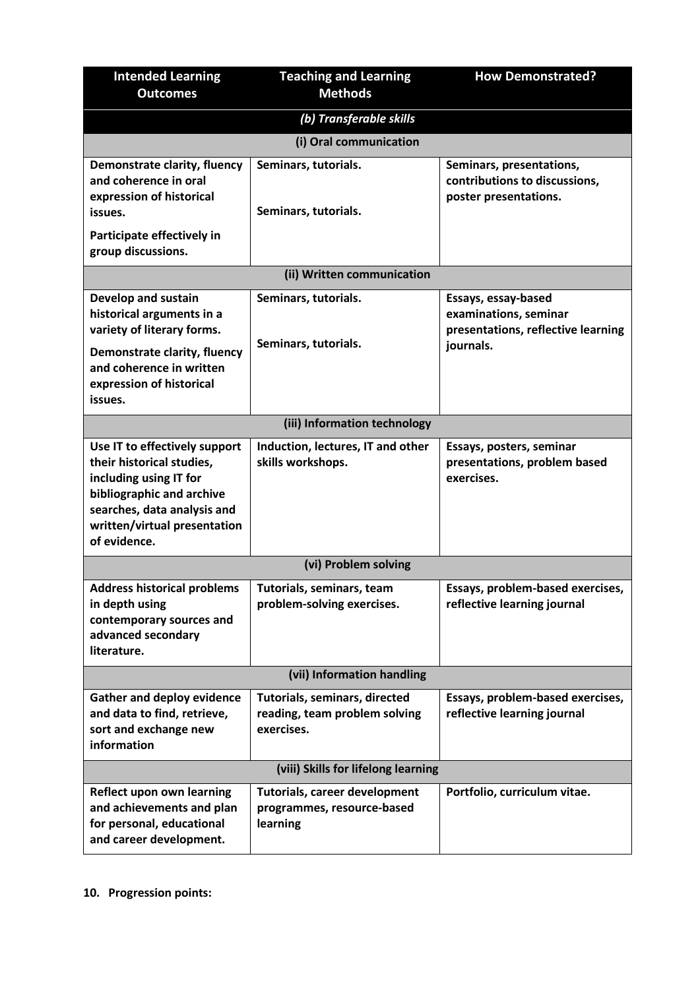| <b>Intended Learning</b><br><b>Outcomes</b>                                                                                                                                                      | <b>Teaching and Learning</b><br><b>Methods</b>                                 | <b>How Demonstrated?</b>                                                                        |
|--------------------------------------------------------------------------------------------------------------------------------------------------------------------------------------------------|--------------------------------------------------------------------------------|-------------------------------------------------------------------------------------------------|
|                                                                                                                                                                                                  |                                                                                |                                                                                                 |
|                                                                                                                                                                                                  | (b) Transferable skills                                                        |                                                                                                 |
|                                                                                                                                                                                                  | (i) Oral communication                                                         |                                                                                                 |
| Demonstrate clarity, fluency<br>and coherence in oral<br>expression of historical<br>issues.<br>Participate effectively in                                                                       | Seminars, tutorials.<br>Seminars, tutorials.                                   | Seminars, presentations,<br>contributions to discussions,<br>poster presentations.              |
| group discussions.                                                                                                                                                                               |                                                                                |                                                                                                 |
|                                                                                                                                                                                                  | (ii) Written communication                                                     |                                                                                                 |
| <b>Develop and sustain</b><br>historical arguments in a<br>variety of literary forms.<br>Demonstrate clarity, fluency<br>and coherence in written<br>expression of historical<br>issues.         | Seminars, tutorials.<br>Seminars, tutorials.                                   | Essays, essay-based<br>examinations, seminar<br>presentations, reflective learning<br>journals. |
|                                                                                                                                                                                                  | (iii) Information technology                                                   |                                                                                                 |
| Use IT to effectively support<br>their historical studies,<br>including using IT for<br>bibliographic and archive<br>searches, data analysis and<br>written/virtual presentation<br>of evidence. | Induction, lectures, IT and other<br>skills workshops.                         | Essays, posters, seminar<br>presentations, problem based<br>exercises.                          |
|                                                                                                                                                                                                  | (vi) Problem solving                                                           |                                                                                                 |
| <b>Address historical problems</b><br>in depth using<br>contemporary sources and<br>advanced secondary<br>literature.                                                                            | Tutorials, seminars, team<br>problem-solving exercises.                        | Essays, problem-based exercises,<br>reflective learning journal                                 |
|                                                                                                                                                                                                  | (vii) Information handling                                                     |                                                                                                 |
| <b>Gather and deploy evidence</b><br>and data to find, retrieve,<br>sort and exchange new<br>information                                                                                         | Tutorials, seminars, directed<br>reading, team problem solving<br>exercises.   | Essays, problem-based exercises,<br>reflective learning journal                                 |
|                                                                                                                                                                                                  | (viii) Skills for lifelong learning                                            |                                                                                                 |
| <b>Reflect upon own learning</b><br>and achievements and plan<br>for personal, educational<br>and career development.                                                                            | <b>Tutorials, career development</b><br>programmes, resource-based<br>learning | Portfolio, curriculum vitae.                                                                    |

**10. Progression points:**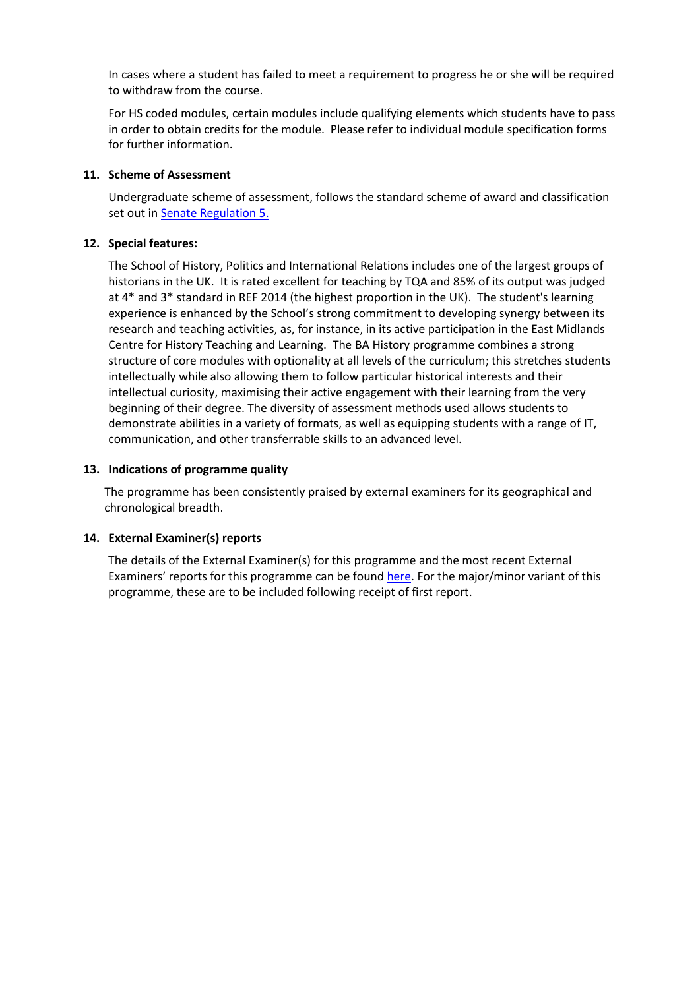In cases where a student has failed to meet a requirement to progress he or she will be required to withdraw from the course.

For HS coded modules, certain modules include qualifying elements which students have to pass in order to obtain credits for the module. Please refer to individual module specification forms for further information.

## **11. Scheme of Assessment**

Undergraduate scheme of assessment, follows the standard scheme of award and classification set out in [Senate Regulation 5.](http://www.le.ac.uk/senate-regulation5)

## **12. Special features:**

The School of History, Politics and International Relations includes one of the largest groups of historians in the UK. It is rated excellent for teaching by TQA and 85% of its output was judged at 4\* and 3\* standard in REF 2014 (the highest proportion in the UK). The student's learning experience is enhanced by the School's strong commitment to developing synergy between its research and teaching activities, as, for instance, in its active participation in the East Midlands Centre for History Teaching and Learning. The BA History programme combines a strong structure of core modules with optionality at all levels of the curriculum; this stretches students intellectually while also allowing them to follow particular historical interests and their intellectual curiosity, maximising their active engagement with their learning from the very beginning of their degree. The diversity of assessment methods used allows students to demonstrate abilities in a variety of formats, as well as equipping students with a range of IT, communication, and other transferrable skills to an advanced level.

## **13. Indications of programme quality**

The programme has been consistently praised by external examiners for its geographical and chronological breadth.

### **14. External Examiner(s) reports**

The details of the External Examiner(s) for this programme and the most recent External Examiners' reports for this programme can be found [here.](https://exampapers.le.ac.uk/xmlui/) For the major/minor variant of this programme, these are to be included following receipt of first report.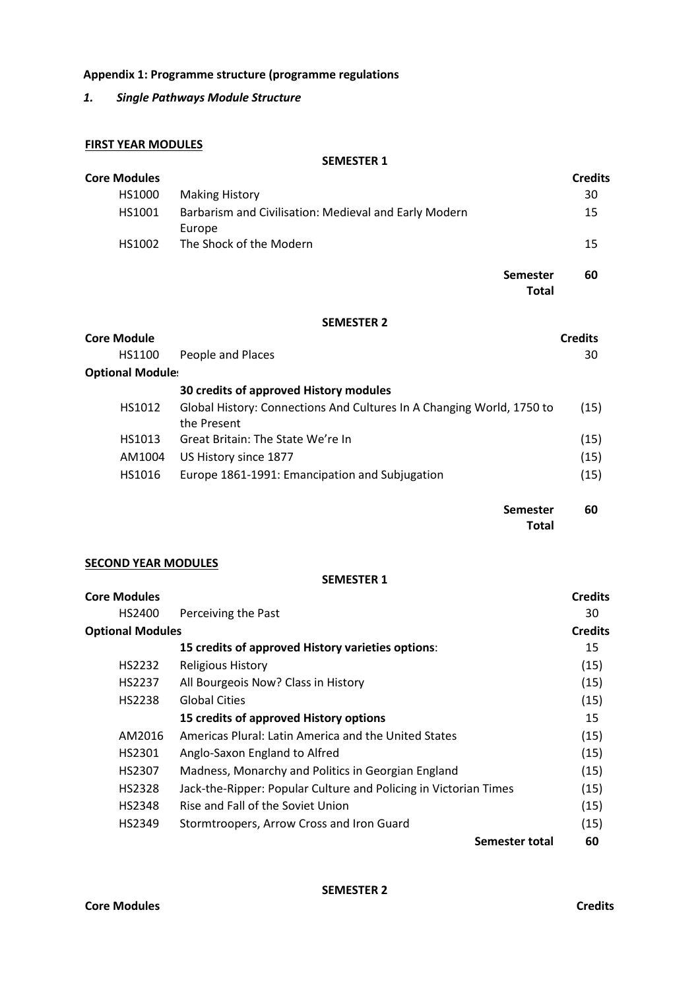# **Appendix 1: Programme structure (programme regulations**

# *1. Single Pathways Module Structure*

## **FIRST YEAR MODULES**

## **SEMESTER 1**

| <b>Core Modules</b>     |                                                                                      | <b>Credits</b> |
|-------------------------|--------------------------------------------------------------------------------------|----------------|
| HS1000                  | <b>Making History</b>                                                                | 30             |
| HS1001                  | Barbarism and Civilisation: Medieval and Early Modern<br>Europe                      | 15             |
| HS1002                  | The Shock of the Modern                                                              | 15             |
|                         | <b>Semester</b><br><b>Total</b>                                                      | 60             |
|                         | <b>SEMESTER 2</b>                                                                    |                |
| <b>Core Module</b>      |                                                                                      | <b>Credits</b> |
| HS1100                  | People and Places                                                                    | 30             |
| <b>Optional Module:</b> |                                                                                      |                |
|                         | 30 credits of approved History modules                                               |                |
| HS1012                  | Global History: Connections And Cultures In A Changing World, 1750 to<br>the Present | (15)           |
| HS1013                  | Great Britain: The State We're In                                                    | (15)           |
| AM1004                  | US History since 1877                                                                | (15)           |
| HS1016                  | Europe 1861-1991: Emancipation and Subjugation                                       | (15)           |
|                         | <b>Semester</b><br><b>Total</b>                                                      | 60             |

## **SECOND YEAR MODULES**

#### **SEMESTER 1**

| <b>Core Modules</b>     |                                                                  | <b>Credits</b> |
|-------------------------|------------------------------------------------------------------|----------------|
| HS2400                  | Perceiving the Past                                              | 30             |
| <b>Optional Modules</b> |                                                                  | <b>Credits</b> |
|                         | 15 credits of approved History varieties options:                | 15             |
| HS2232                  | <b>Religious History</b>                                         | (15)           |
| HS2237                  | All Bourgeois Now? Class in History                              | (15)           |
| HS2238                  | <b>Global Cities</b>                                             | (15)           |
|                         | 15 credits of approved History options                           | 15             |
| AM2016                  | Americas Plural: Latin America and the United States             | (15)           |
| HS2301                  | Anglo-Saxon England to Alfred                                    | (15)           |
| HS2307                  | Madness, Monarchy and Politics in Georgian England               | (15)           |
| HS2328                  | Jack-the-Ripper: Popular Culture and Policing in Victorian Times | (15)           |
| HS2348                  | Rise and Fall of the Soviet Union                                | (15)           |
| HS2349                  | Stormtroopers, Arrow Cross and Iron Guard                        | (15)           |
|                         | Semester total                                                   | 60             |

**SEMESTER 2**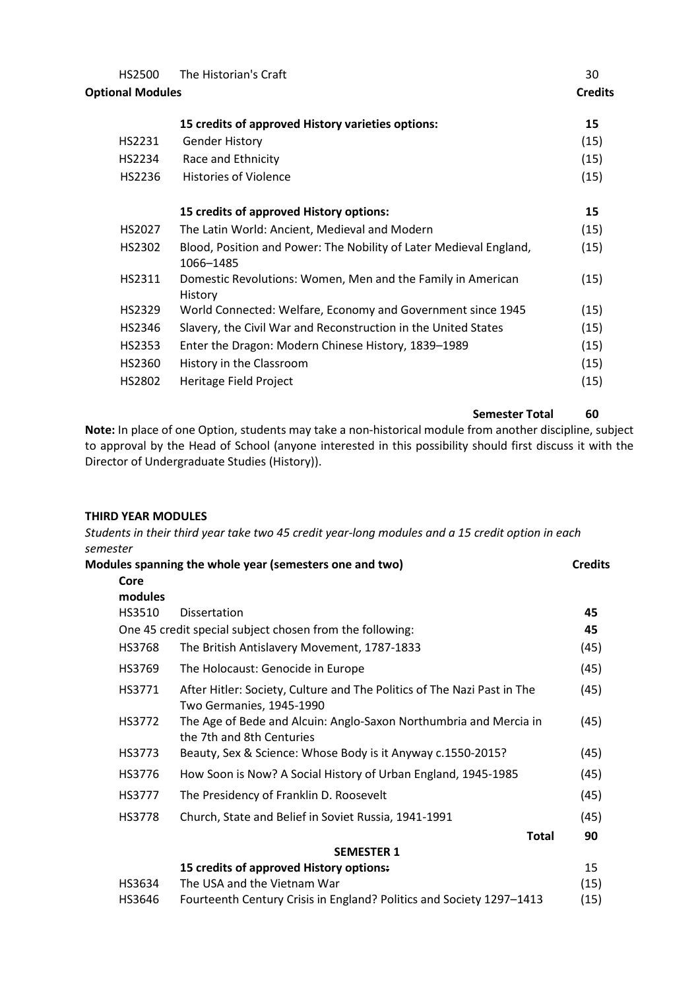| HS2500<br><b>Optional Modules</b> | The Historian's Craft                                                           | 30<br><b>Credits</b> |
|-----------------------------------|---------------------------------------------------------------------------------|----------------------|
|                                   | 15 credits of approved History varieties options:                               | 15                   |
| HS2231                            | <b>Gender History</b>                                                           | (15)                 |
| HS2234                            | Race and Ethnicity                                                              | (15)                 |
| HS2236                            | <b>Histories of Violence</b>                                                    | (15)                 |
|                                   | 15 credits of approved History options:                                         | 15                   |
| HS2027                            | The Latin World: Ancient, Medieval and Modern                                   | (15)                 |
| HS2302                            | Blood, Position and Power: The Nobility of Later Medieval England,<br>1066-1485 | (15)                 |
| HS2311                            | Domestic Revolutions: Women, Men and the Family in American<br>History          | (15)                 |
| HS2329                            | World Connected: Welfare, Economy and Government since 1945                     | (15)                 |
| HS2346                            | Slavery, the Civil War and Reconstruction in the United States                  | (15)                 |
| HS2353                            | Enter the Dragon: Modern Chinese History, 1839-1989                             | (15)                 |
| HS2360                            | History in the Classroom                                                        | (15)                 |
| HS2802                            | Heritage Field Project                                                          | (15)                 |

**Semester Total 60**

**Note:** In place of one Option, students may take a non-historical module from another discipline, subject to approval by the Head of School (anyone interested in this possibility should first discuss it with the Director of Undergraduate Studies (History)).

## **THIRD YEAR MODULES**

*Students in their third year take two 45 credit year-long modules and a 15 credit option in each semester*

|               | Modules spanning the whole year (semesters one and two)                                             | <b>Credits</b> |
|---------------|-----------------------------------------------------------------------------------------------------|----------------|
| Core          |                                                                                                     |                |
| modules       |                                                                                                     |                |
| HS3510        | Dissertation                                                                                        | 45             |
|               | One 45 credit special subject chosen from the following:                                            | 45             |
| <b>HS3768</b> | The British Antislavery Movement, 1787-1833                                                         | (45)           |
| HS3769        | The Holocaust: Genocide in Europe                                                                   | (45)           |
| HS3771        | After Hitler: Society, Culture and The Politics of The Nazi Past in The<br>Two Germanies, 1945-1990 | (45)           |
| HS3772        | The Age of Bede and Alcuin: Anglo-Saxon Northumbria and Mercia in<br>the 7th and 8th Centuries      | (45)           |
| HS3773        | Beauty, Sex & Science: Whose Body is it Anyway c.1550-2015?                                         | (45)           |
| HS3776        | How Soon is Now? A Social History of Urban England, 1945-1985                                       | (45)           |
| HS3777        | The Presidency of Franklin D. Roosevelt                                                             | (45)           |
| HS3778        | Church, State and Belief in Soviet Russia, 1941-1991                                                | (45)           |
|               | Total                                                                                               | 90             |
|               | <b>SEMESTER 1</b>                                                                                   |                |
|               | 15 credits of approved History options:                                                             | 15             |
| HS3634        | The USA and the Vietnam War                                                                         | (15)           |
| HS3646        | Fourteenth Century Crisis in England? Politics and Society 1297-1413                                | (15)           |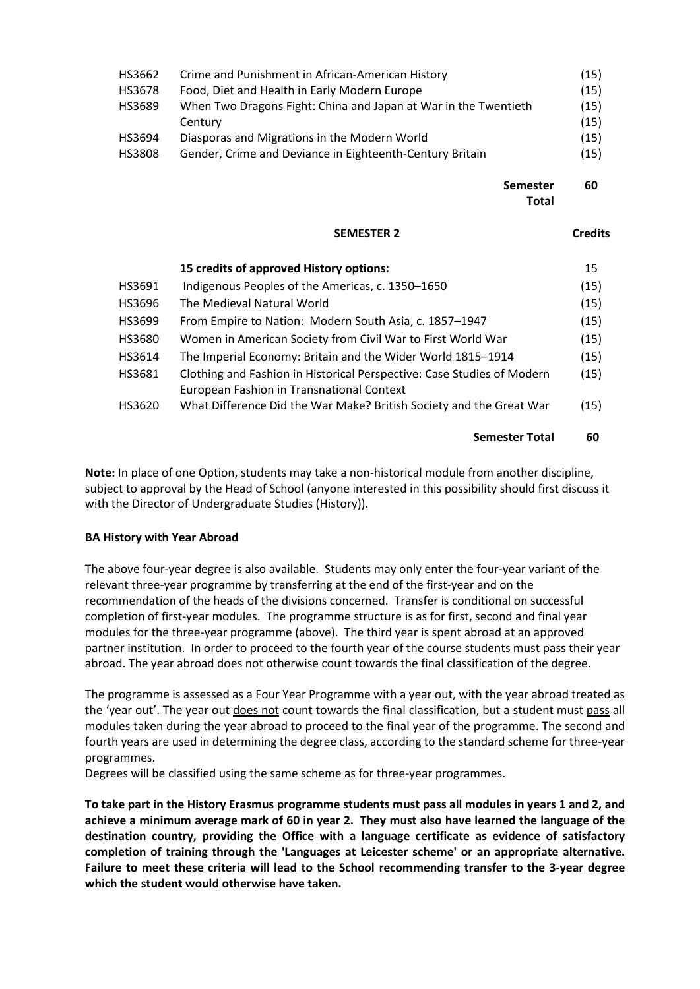| HS3662 | Crime and Punishment in African-American History                | (15) |
|--------|-----------------------------------------------------------------|------|
| HS3678 | Food, Diet and Health in Early Modern Europe                    | (15) |
| HS3689 | When Two Dragons Fight: China and Japan at War in the Twentieth | (15) |
|        | Century                                                         | (15) |
| HS3694 | Diasporas and Migrations in the Modern World                    | (15) |
| HS3808 | Gender, Crime and Deviance in Eighteenth-Century Britain        | (15) |
|        |                                                                 |      |

**Semester Total 60**

#### **SEMESTER 2 Credits**

|  | г | Ш |
|--|---|---|

|        | 15 credits of approved History options:                                                                             | 15   |
|--------|---------------------------------------------------------------------------------------------------------------------|------|
| HS3691 | Indigenous Peoples of the Americas, c. 1350-1650                                                                    | (15) |
| HS3696 | The Medieval Natural World                                                                                          | (15) |
| HS3699 | From Empire to Nation: Modern South Asia, c. 1857-1947                                                              | (15) |
| HS3680 | Women in American Society from Civil War to First World War                                                         | (15) |
| HS3614 | The Imperial Economy: Britain and the Wider World 1815-1914                                                         | (15) |
| HS3681 | Clothing and Fashion in Historical Perspective: Case Studies of Modern<br>European Fashion in Transnational Context | (15) |
| HS3620 | What Difference Did the War Make? British Society and the Great War                                                 | (15) |

### **Semester Total 60**

**Note:** In place of one Option, students may take a non-historical module from another discipline, subject to approval by the Head of School (anyone interested in this possibility should first discuss it with the Director of Undergraduate Studies (History)).

### **BA History with Year Abroad**

The above four-year degree is also available. Students may only enter the four-year variant of the relevant three-year programme by transferring at the end of the first-year and on the recommendation of the heads of the divisions concerned. Transfer is conditional on successful completion of first-year modules. The programme structure is as for first, second and final year modules for the three-year programme (above). The third year is spent abroad at an approved partner institution. In order to proceed to the fourth year of the course students must pass their year abroad. The year abroad does not otherwise count towards the final classification of the degree.

The programme is assessed as a Four Year Programme with a year out, with the year abroad treated as the 'year out'. The year out does not count towards the final classification, but a student must pass all modules taken during the year abroad to proceed to the final year of the programme. The second and fourth years are used in determining the degree class, according to the standard scheme for three-year programmes.

Degrees will be classified using the same scheme as for three-year programmes.

**To take part in the History Erasmus programme students must pass all modules in years 1 and 2, and achieve a minimum average mark of 60 in year 2. They must also have learned the language of the destination country, providing the Office with a language certificate as evidence of satisfactory completion of training through the 'Languages at Leicester scheme' or an appropriate alternative. Failure to meet these criteria will lead to the School recommending transfer to the 3-year degree which the student would otherwise have taken.**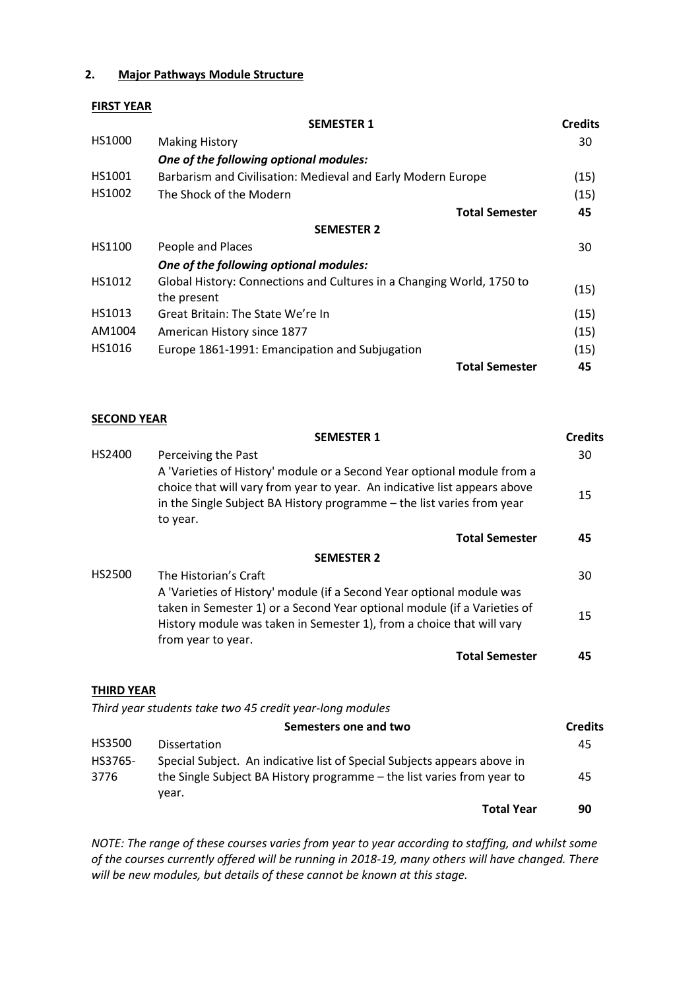## **2. Major Pathways Module Structure**

## **FIRST YEAR**

|        | <b>SEMESTER 1</b>                                                                    | <b>Credits</b> |
|--------|--------------------------------------------------------------------------------------|----------------|
| HS1000 | <b>Making History</b>                                                                | 30             |
|        | One of the following optional modules:                                               |                |
| HS1001 | Barbarism and Civilisation: Medieval and Early Modern Europe                         | (15)           |
| HS1002 | The Shock of the Modern                                                              | (15)           |
|        | <b>Total Semester</b>                                                                | 45             |
|        | <b>SEMESTER 2</b>                                                                    |                |
| HS1100 | People and Places                                                                    | 30             |
|        | One of the following optional modules:                                               |                |
| HS1012 | Global History: Connections and Cultures in a Changing World, 1750 to<br>the present | (15)           |
| HS1013 | Great Britain: The State We're In                                                    | (15)           |
| AM1004 | American History since 1877                                                          | (15)           |
| HS1016 | Europe 1861-1991: Emancipation and Subjugation                                       | (15)           |
|        | <b>Total Semester</b>                                                                | 45             |

#### **SECOND YEAR**

year.

|                   | <b>SEMESTER 1</b>                                                                                                                                                                                                                                | <b>Credits</b> |
|-------------------|--------------------------------------------------------------------------------------------------------------------------------------------------------------------------------------------------------------------------------------------------|----------------|
| HS2400            | Perceiving the Past                                                                                                                                                                                                                              | 30             |
|                   | A 'Varieties of History' module or a Second Year optional module from a<br>choice that will vary from year to year. An indicative list appears above<br>in the Single Subject BA History programme - the list varies from year<br>to year.       | 15             |
|                   | <b>Total Semester</b>                                                                                                                                                                                                                            | 45             |
|                   | <b>SEMESTER 2</b>                                                                                                                                                                                                                                |                |
| HS2500            | The Historian's Craft                                                                                                                                                                                                                            | 30             |
|                   | A 'Varieties of History' module (if a Second Year optional module was<br>taken in Semester 1) or a Second Year optional module (if a Varieties of<br>History module was taken in Semester 1), from a choice that will vary<br>from year to year. | 15             |
|                   | <b>Total Semester</b>                                                                                                                                                                                                                            | 45             |
| <b>THIRD YEAR</b> | Third year students take two 45 credit year-long modules                                                                                                                                                                                         |                |
|                   | Semesters one and two                                                                                                                                                                                                                            | <b>Credits</b> |
| <b>HS3500</b>     | <b>Dissertation</b>                                                                                                                                                                                                                              | 45             |
| HS3765-           | Special Subject. An indicative list of Special Subjects appears above in                                                                                                                                                                         |                |
| 3776              | the Single Subject BA History programme - the list varies from year to                                                                                                                                                                           | 45             |

*NOTE: The range of these courses varies from year to year according to staffing, and whilst some of the courses currently offered will be running in 2018-19, many others will have changed. There will be new modules, but details of these cannot be known at this stage.*

**Total Year 90**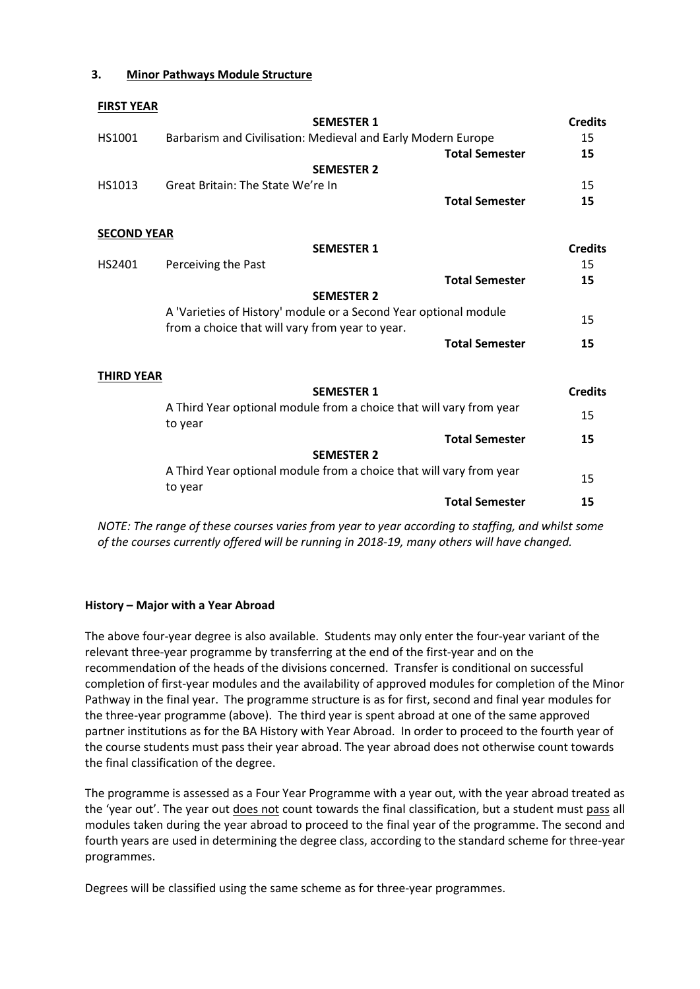## **3. Minor Pathways Module Structure**

**FIRST YEAR**

| .                  | <b>SEMESTER 1</b>                                                                                                   | <b>Credits</b> |
|--------------------|---------------------------------------------------------------------------------------------------------------------|----------------|
|                    |                                                                                                                     |                |
| HS1001             | Barbarism and Civilisation: Medieval and Early Modern Europe                                                        | 15             |
|                    | <b>Total Semester</b>                                                                                               | 15             |
|                    | <b>SEMESTER 2</b>                                                                                                   |                |
| HS1013             | Great Britain: The State We're In                                                                                   | 15             |
|                    | <b>Total Semester</b>                                                                                               | 15             |
| <b>SECOND YEAR</b> |                                                                                                                     |                |
|                    | <b>SEMESTER 1</b>                                                                                                   | <b>Credits</b> |
| HS2401             | Perceiving the Past                                                                                                 | 15             |
|                    | <b>Total Semester</b>                                                                                               | 15             |
|                    | <b>SEMESTER 2</b>                                                                                                   |                |
|                    | A 'Varieties of History' module or a Second Year optional module<br>from a choice that will vary from year to year. | 15             |
|                    | <b>Total Semester</b>                                                                                               | 15             |
| <b>THIRD YEAR</b>  |                                                                                                                     |                |
|                    | <b>SEMESTER 1</b>                                                                                                   | <b>Credits</b> |
|                    | A Third Year optional module from a choice that will vary from year                                                 |                |
|                    | to year                                                                                                             | 15             |
|                    | <b>Total Semester</b>                                                                                               | 15             |
|                    | <b>SEMESTER 2</b>                                                                                                   |                |
|                    | A Third Year optional module from a choice that will vary from year                                                 | 15             |
|                    | to year                                                                                                             |                |
|                    | <b>Total Semester</b>                                                                                               | 15             |
|                    |                                                                                                                     |                |

*NOTE: The range of these courses varies from year to year according to staffing, and whilst some of the courses currently offered will be running in 2018-19, many others will have changed.* 

## **History – Major with a Year Abroad**

The above four-year degree is also available. Students may only enter the four-year variant of the relevant three-year programme by transferring at the end of the first-year and on the recommendation of the heads of the divisions concerned. Transfer is conditional on successful completion of first-year modules and the availability of approved modules for completion of the Minor Pathway in the final year. The programme structure is as for first, second and final year modules for the three-year programme (above). The third year is spent abroad at one of the same approved partner institutions as for the BA History with Year Abroad. In order to proceed to the fourth year of the course students must pass their year abroad. The year abroad does not otherwise count towards the final classification of the degree.

The programme is assessed as a Four Year Programme with a year out, with the year abroad treated as the 'year out'. The year out does not count towards the final classification, but a student must pass all modules taken during the year abroad to proceed to the final year of the programme. The second and fourth years are used in determining the degree class, according to the standard scheme for three-year programmes.

Degrees will be classified using the same scheme as for three-year programmes.